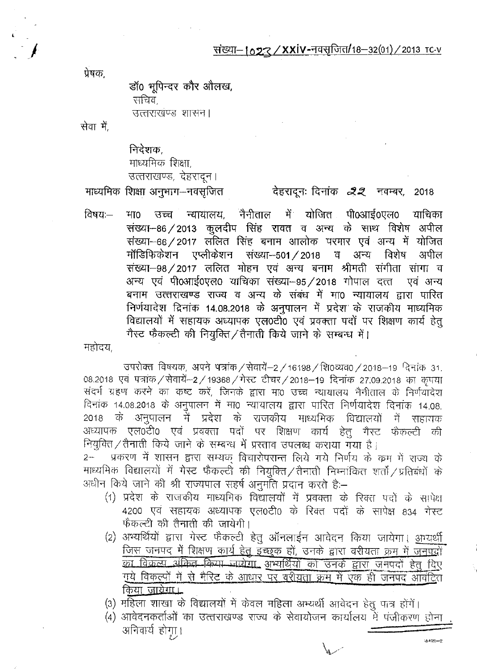## संख्या-1023/XXIV-नवसृजित/18-32(01)/2013 TC-V

प्रेषक.

डॉ0 भूपिन्दर कौर ओलख,

सचिव.

उत्तराखण्ड शासन।

सेवा में.

निदेशक. माध्यमिक शिक्षा, उत्तराखण्ड, देहरादन।

माध्यमिक शिक्षा अनुभाग-नवसूजित

## देहरादूनः दिनांक *22* नवम्बर, 2018

ं न्यायालय, नैनीताल में योजित पी0आई0एल0 याचिका विषय $HIO$ उच्च संख्या- 86 / 2013 कुलदीप सिंह रावत व अन्य के साथ विशेष अपील संख्या-66/2017 लॉलित सिंह बनाम आलोक परमार एवं अन्य में योजित मॉडिफिकेशन एप्लीकेशन संख्या--501 / 2018 व अन्य विशेष अपील संख्या-98/2017 ललित मोहन एवं अन्य बनाम श्रीमती संगीता सांगा व अन्य एवं पी0आई0एल0 याचिका संख्या-95/2018 गोपाल दत्त एवं अन्य बनाम उत्त्तराखण्ड राज्य व अन्य के संबंध में मा0 न्यायालय द्वारा पारित निर्णयादेश दिनांक 14.08.2018 के अनुपालन में प्रदेश के राजकीय माध्यमिक विद्यालयों में सहायक अध्यापक एल0टी0 एवं प्रवक्ता पदों पर शिक्षण कार्य हेतु गैस्ट फैकल्टी की नियुक्ति / तैनाती किये जाने के सम्बन्ध में।

महोदय.

उपरोक्त विषयक, अपने पत्रांक / सेवायें-2 / 16198 / शि0व्यव0 / 2018-19 दिनांक 31. 08.2018 एवं पत्रांक / सेवायें-2 / 19368 / गेस्ट टीचर / 2018-19 दिनांक 27.09.2018 का कपया संदर्भ ग्रहण करने का कष्ट करें, जिनके द्वारा मा0 उच्च न्यायालय नैनीताल के निर्णयादेश विनांक 14.08.2018 के अनुपालन में मा0 न्यायालय द्वारा पारित निर्णयादेश दिनांक 14.08. 2018 के अनुपालन में प्रदेश के राजकीय माध्यमिक विद्यालयों में सहाराक अध्यापक एल0टी0 एवं प्रवक्ता पदों पर शिक्षण कार्य हेतु गैस्ट फेंकल्टी की नियुक्ति/तैनाती किये जाने के सम्बन्ध में प्रस्ताव उपलब्ध कराया गया है।

प्रकरण में शासन द्वारा सम्यक् विचारोपरान्त लिये गये निर्णय के क्रम में राज्य के  $2 -$ माध्यभिक विद्यालयों में गेस्ट फैकल्टी की नियुक्ति/तैनाती निम्नांकित शर्तो/प्रतिबंधों के अधीन किये जाने की श्री राज्यपाल सहर्ष अनुमति प्रदान करते हैं:–

- (1) प्रदेश के राजकीय माध्यमिक विद्यालयों में प्रवक्ता के रिक्त पदों के सापेक्ष 4200 एवं सहायक अध्यापक एल0टी0 के रिक्त पदों के सापेक्ष 834 गेस्ट फैकल्टी की तैनाती की जायेगी।
- (2) अभ्यर्थियों द्वारा गेस्ट फैकल्टी हेतु ऑनलाईन आवेदन किया जायेगा। आधर्यी <u>जिस जनपद में शिक्षण कार्य हेतु इच्छुक</u> हों, उनके द्वारा वरीयता <u>क्रम में जनपदों</u> <u>का विकल्प अकिंव किया जारोगा, अभ्यर्थियों को उनके द्वारा जनपदों हेतु दिए</u> गुये विकल्पों में से मैरिट के आधार पर वरीयता क्रम में एक ही जनपद आवंटित किया <u>जायेगा।</u>
- (3) महिला शाखा के विद्यालयों में केवल महिला अभ्यर्थी आवेदन हेतु पात्र होंगें।
- (4) आवेदनकर्ताओं का उत्तराखण्ड राज्य के सेवायोजन कार्यालय में पंजीकरण होना अनिवार्य होगा। ः<br>कमश**—**2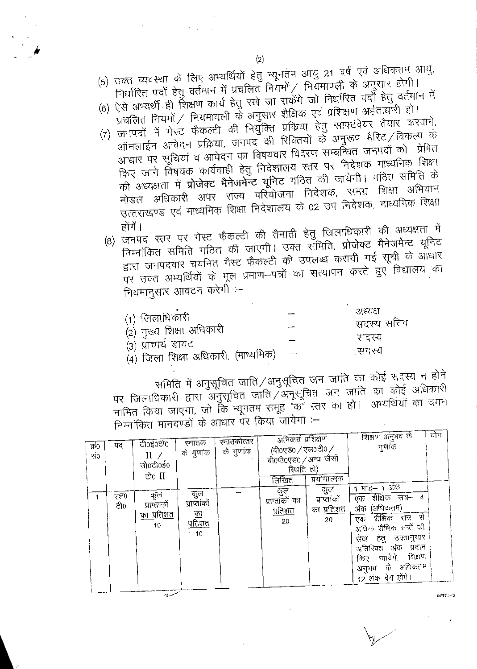- (5) उक्त व्यवस्था के लिए अभ्यर्थियों हेतु न्यूनतम आयु 21 वर्ष एवं अधिकतम आयु, निर्धारित पदों हेतु वर्तमान में प्रचलित नियमों / नियमावली के अनुसार होगी।
- (6) ऐसे अभ्यर्थी ही शिक्षण कार्य हेतु रखे जा सकेंगे जो निर्धारित पदों हेतु वर्तमान में ्<br>प्रचलित नियमों / नियमावली के अनुसार शैक्षिक एवं प्रशिक्षण अर्हताधारी हो।
- (7) जनपदों में गेस्ट फैकल्टी की नियुक्ति प्रक्रिया हेतु साफ्टवेयर तैयार करवाने, ऑनलाईन आवेदन प्रक्रिया, जनपद की रिक्तियों के अनुरूप मैरिट /विकल्प के आधार पर सूचियां व आवेदन का विषयवार विवरण सम्बन्धित जनपदों को प्रेषित किए जाने विषयक कार्यवाही हेतु निवेशालय स्तर पर निदेशक माध्यमिक शिक्षा की अध्यक्षता में प्रोजेक्ट मैनेजमेन्ट यूनिट गठित की जायेगी। गठित समिति के नोडल अधिकारी अपर राज्य परियोजना निदेशक, समग्र शिक्षा अभियान उत्तराखण्ड एवं माध्यमिक शिक्षा निदेशालय के 02 उप निदेशक, माध्यमिक शिक्षा होंगें ।
	- (8) जनपद स्तर पर गेस्ट फैकल्टी की तैनाती हेतु जिलाधिकारी की अध्यक्षता में निम्नांकित समिति गठित की जाएगी। उक्त सँमिति, प्रोजेक्ट मैनेजमेन्ट यूनिट द्वारा जनपदवार चयनित गैस्ट फैकल्टी की उपलब्ध करायी गई सूची के आधार पर उक्त अभ्यर्थियों के मूल प्रमाण-पत्रों का सत्यापन करते हुए विद्यालय का नियमानुसार आवंटन करेगीं :-

|                                                           | अध्यक्ष    |
|-----------------------------------------------------------|------------|
| $(1)$ जिलाधिकारी<br>(2) मुख्य शिक्षा अधिकारी              | सदस्य सचिव |
|                                                           | सदस्य      |
| (३) प्राचार्य डायट<br>(४) जिला शिक्षा अधिकारी, (माध्यमिक) | ्सदस्य     |

समिति में अनुसूचित जाति/अनुसूचित जन जाति का कोई सदस्य न होने पर जिलाधिकारी द्वारा अनुसूचित जाति /अनूसूचित जन जाति का कोई अधिकारी नामित किया जाएगा, जो कि न्यूनतम समूह "क" स्तर का हो। अभ्यर्थियों का चयन निम्नांकित मानदण्डों के आधार पर किया जायेगा :-

| क्र0<br>सं० | पद         | टी०ई०टी०<br>$\Pi$ /<br>ਾਜੀoਟੀ0ਤ0<br>ਣੀo II                 | स्नातक<br>के गुणांक                                              | स्नातकोत्तर<br>के गुणांक | अनिवार्य प्रशिक्षण<br>(बी०एड० / एल०टी० /<br>वी0पी0एड0 / अन्य जैसी<br>रिथति हो)<br>लिखित | प्रयोगात्मक<br>कुल                      | ाशिक्षण अनुभव के<br>ন্যাক<br>$1$ माह– 1 अंक                                                                                                                                                               | योग |
|-------------|------------|------------------------------------------------------------|------------------------------------------------------------------|--------------------------|-----------------------------------------------------------------------------------------|-----------------------------------------|-----------------------------------------------------------------------------------------------------------------------------------------------------------------------------------------------------------|-----|
|             | एल0<br>ਟੀ0 | কুল<br>प्राप्तांको<br><u>का प्रतिशत</u><br>10 <sup>1</sup> | কুল<br>प्राप्तांकों<br>$\overline{\Phi}$<br><u>प्रतिशत</u><br>10 |                          | ं कुल<br>प्राप्तांकों का<br><u>प्रतिशत</u><br>20                                        | प्राप्तांकों<br>का <u>प्रतिशत</u><br>20 | एक शैक्षिक सत्र–<br>(अधिकतम)<br>अंक<br>एक शैक्षिक सत्र<br>- से<br>अधिक शैक्षिक सन्नों की<br>सेवा हेतु उक्तानुसार<br>अतिरिक्त अंक प्रदान<br>जायेंगे, शिक्षण<br>किए<br>अनुभव के अधिकतम<br>12 अंक देय होंगे। |     |

مرده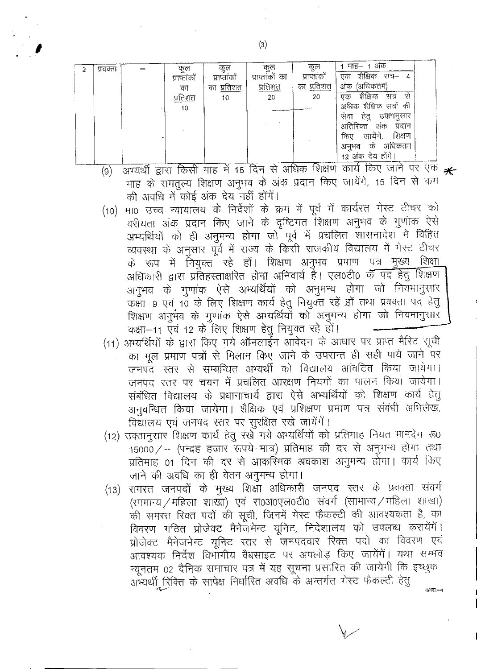| प्रवक्ता | জুল          | कुल             | कुल            | कुल           | माह– १ अक                    |
|----------|--------------|-----------------|----------------|---------------|------------------------------|
|          | प्राप्तांकों | प्राप्तांको     | प्राप्ताको का  | प्राप्तांकों  | शैक्षिक<br>सत्र—<br>एक<br>-4 |
|          | का           | प्रतिशत<br>का   | <u>प्रतिशत</u> | का प्रतिशत    | (अधिकतम)<br>अक               |
|          | प्रतिशत      | 10 <sub>1</sub> | 20             | 20            | शैक्षिक<br>संच<br>स<br>एक    |
|          | 10           |                 |                |               | अधिक शैक्षिक सत्रों की       |
|          |              |                 |                |               | सेवा<br>हेतु उक्तानुसार      |
|          |              |                 |                |               | अतिरिक्त<br>अक<br>प्रदान     |
|          |              |                 |                |               | जायेंगे.<br>शिक्षण<br>ित्रए  |
|          |              |                 |                |               | कं अधिकतन<br>अनुभव           |
|          |              |                 |                |               | 12 अंक देय होंगे।            |
|          |              |                 | ---            | $+$ $+$ $  -$ | $TTT - 112$                  |

- (9) अभ्यर्थी द्वारा किसी माह में 15 दिन से अधिक शिक्षण कार्य किए जाने पर एक \* माह के समतुल्य शिक्षण अनुभव के अंक प्रदान किए जायेंगे, 15 दिन से कम की अवधि में कोई अंक देय नहीं होंगें।
- मा0 उच्च न्यायालय के निर्देशों के क्रम में पूर्व में कार्यरत गेस्ट टीचर को  $(10)$ वरीयता अंक प्रदान किए जाने के दृष्टिगत शिक्षण अनुभव के गुणांक ऐसे अभ्यर्थियों को ही अनुमन्य होगा जो पूर्व में प्रचलित शासनादेश में विहित व्यवस्था के अनुसार पूर्व में राज्य के किसी राजकीय विद्यालय में गेस्ट टीचर के रूप में नियुक्त रहे हों। शिक्षण अनुभव प्रभाण पत्र मुख्य शिक्षा अधिकारी द्वारा प्रतिहस्ताक्षरित होना अनिवार्य है। एल0टी0 के पद हेतु शिक्षण अनुभव के गुणांक ऐसे अभ्यर्थियों को अनुमन्य होगा जो नियमानुसार कक्षा-9 एवं 10 के लिए शिक्षण कार्य हेतु नियुक्त रहे हों तथा प्रवक्ता पद हेतु शिक्षण अनुभव के गुणांक ऐसे अभ्यर्थियों को अनुमन्य होगा जो नियमानुशार कक्षा-11 एवं 12 के लिए शिक्षण हेतु नियुक्त रहे हों।
- (11) अभ्यर्थियों के द्वारा किए गये ऑनलाईन आवेदन के आधार पर प्राप्त मैरिट सूची का मूल प्रमाण पत्रों से मिलान किए जाने के उपरान्त ही सही पाये जाने पर जनपद स्तर से सम्बन्धित अभ्यर्थी को विद्यालय आंवटित किया जायेगा। जनपद स्तर पर चयन में प्रचलित आरक्षण नियमों का पालन किया जायेगा। संबंधित विद्यालय के प्रधानाचार्य द्वारा ऐसे अभ्यर्थियों को शिक्षण कार्य हेतु अनुबन्धित किया जायेगा। शैक्षिक एवं प्रशिक्षण प्रमाण पत्र संबंधी अभिलेख, विद्यालय एवं जनपद स्तर पर सुरक्षित रखे जायेंगें।
- (12) उक्तानुसार शिक्षण कार्य हेतु रखे गये अभ्यर्थियों को प्रतिमाह नियत मानदेय रू0 15000/ -- (पन्द्रह हजार रूपये मात्र) प्रतिमाह की दर से अनुमन्य होगा तथा प्रतिमाह 01 दिन की दर से आकस्मिक अवकाश अनुमन्य होगा। कार्य किए जाने की अवधि का ही वेतन अनुमन्य होगा।
- (13) समस्त जनपदों के मुख्य शिक्षा अधिकारी जनपद स्तर के प्रवक्ता संवर्ग (सामान्य / महिला शाखा) एवं स0अ0एल0टी0 संवर्ग (सामान्य / महिला शाखा) की समस्त रिक्त पदों की सूची, जिनमें गेस्ट फैकल्टी की आवश्यकता है, का विवरण गठित प्रोजेक्ट मैनेजमेन्ट यूनिट, निदेशालय को उपलब्ध करायेंगें। प्रोजेक्ट मैनेजमेन्ट यूनिट स्तर से जनपदवार रिक्त पदों का विवरण एवं आवश्यक निर्देश विभागीय वैबसाइट पर अपलोड़ किए जायेंगें। यथा सम्भव न्यूनतम 02 दैनिक समाचार पत्र में यह सूचना प्रसारित की जायेगी कि इच्छुक अभ्यर्थी रिक्ति के सापेक्ष निर्धारित अवधि के अन्तर्गत गेस्ट फैकल्टी हेतु  $3.757...4$

 $\left( 3\right)$